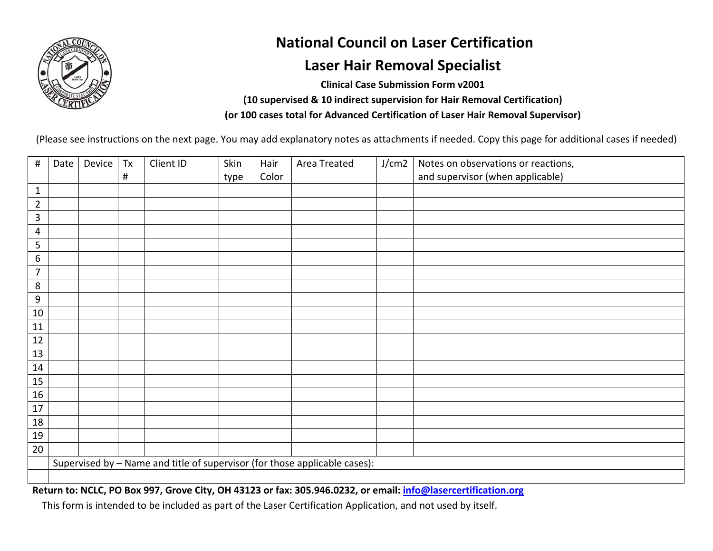

## **National Council on Laser Certification**

## **Laser Hair Removal Specialist**

**Clinical Case Submission Form v2001 (10 supervised & 10 indirect supervision for Hair Removal Certification) (or 100 cases total for Advanced Certification of Laser Hair Removal Supervisor)** 

(Please see instructions on the next page. You may add explanatory notes as attachments if needed. Copy this page for additional cases if needed)

| $\#$           | Date | Device                                                                     | Tx       | Client ID | Skin | Hair  | Area Treated | J/cm2 | Notes on observations or reactions, |  |
|----------------|------|----------------------------------------------------------------------------|----------|-----------|------|-------|--------------|-------|-------------------------------------|--|
|                |      |                                                                            | $\sharp$ |           | type | Color |              |       | and supervisor (when applicable)    |  |
| $1\,$          |      |                                                                            |          |           |      |       |              |       |                                     |  |
| $\overline{2}$ |      |                                                                            |          |           |      |       |              |       |                                     |  |
| $\mathbf{3}$   |      |                                                                            |          |           |      |       |              |       |                                     |  |
| 4              |      |                                                                            |          |           |      |       |              |       |                                     |  |
| 5              |      |                                                                            |          |           |      |       |              |       |                                     |  |
| 6              |      |                                                                            |          |           |      |       |              |       |                                     |  |
| $\overline{7}$ |      |                                                                            |          |           |      |       |              |       |                                     |  |
| 8              |      |                                                                            |          |           |      |       |              |       |                                     |  |
| 9              |      |                                                                            |          |           |      |       |              |       |                                     |  |
| $10\,$         |      |                                                                            |          |           |      |       |              |       |                                     |  |
| 11             |      |                                                                            |          |           |      |       |              |       |                                     |  |
| 12             |      |                                                                            |          |           |      |       |              |       |                                     |  |
| 13             |      |                                                                            |          |           |      |       |              |       |                                     |  |
| 14             |      |                                                                            |          |           |      |       |              |       |                                     |  |
| 15             |      |                                                                            |          |           |      |       |              |       |                                     |  |
| 16             |      |                                                                            |          |           |      |       |              |       |                                     |  |
| 17             |      |                                                                            |          |           |      |       |              |       |                                     |  |
| 18             |      |                                                                            |          |           |      |       |              |       |                                     |  |
| 19             |      |                                                                            |          |           |      |       |              |       |                                     |  |
| $20\,$         |      |                                                                            |          |           |      |       |              |       |                                     |  |
|                |      | Supervised by - Name and title of supervisor (for those applicable cases): |          |           |      |       |              |       |                                     |  |
|                |      |                                                                            |          |           |      |       |              |       |                                     |  |

**Return to: NCLC, PO Box 997, Grove City, OH 43123 or fax: 305.946.0232, or email: info@lasercertification.org**

This form is intended to be included as part of the Laser Certification Application, and not used by itself.